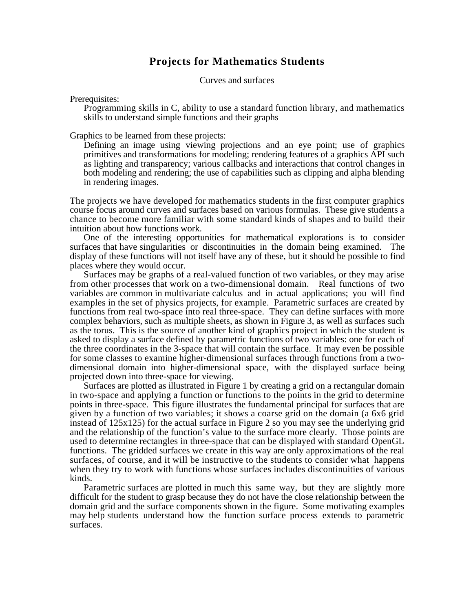## **Projects for Mathematics Students**

Curves and surfaces

Prerequisites:

Programming skills in C, ability to use a standard function library, and mathematics skills to understand simple functions and their graphs

Graphics to be learned from these projects:

Defining an image using viewing projections and an eye point; use of graphics primitives and transformations for modeling; rendering features of a graphics API such as lighting and transparency; various callbacks and interactions that control changes in both modeling and rendering; the use of capabilities such as clipping and alpha blending in rendering images.

The projects we have developed for mathematics students in the first computer graphics course focus around curves and surfaces based on various formulas. These give students a chance to become more familiar with some standard kinds of shapes and to build their intuition about how functions work.

One of the interesting opportunities for mathematical explorations is to consider surfaces that have singularities or discontinuities in the domain being examined. The display of these functions will not itself have any of these, but it should be possible to find places where they would occur.

Surfaces may be graphs of a real-valued function of two variables, or they may arise from other processes that work on a two-dimensional domain. Real functions of two variables are common in multivariate calculus and in actual applications; you will find examples in the set of physics projects, for example. Parametric surfaces are created by functions from real two-space into real three-space. They can define surfaces with more complex behaviors, such as multiple sheets, as shown in Figure 3, as well as surfaces such as the torus. This is the source of another kind of graphics project in which the student is asked to display a surface defined by parametric functions of two variables: one for each of the three coordinates in the 3-space that will contain the surface. It may even be possible for some classes to examine higher-dimensional surfaces through functions from a twodimensional domain into higher-dimensional space, with the displayed surface being projected down into three-space for viewing.

Surfaces are plotted as illustrated in Figure 1 by creating a grid on a rectangular domain in two-space and applying a function or functions to the points in the grid to determine points in three-space. This figure illustrates the fundamental principal for surfaces that are given by a function of two variables; it shows a coarse grid on the domain (a 6x6 grid instead of 125x125) for the actual surface in Figure 2 so you may see the underlying grid and the relationship of the function's value to the surface more clearly. Those points are used to determine rectangles in three-space that can be displayed with standard OpenGL functions. The gridded surfaces we create in this way are only approximations of the real surfaces, of course, and it will be instructive to the students to consider what happens when they try to work with functions whose surfaces includes discontinuities of various kinds.

Parametric surfaces are plotted in much this same way, but they are slightly more difficult for the student to grasp because they do not have the close relationship between the domain grid and the surface components shown in the figure. Some motivating examples may help students understand how the function surface process extends to parametric surfaces.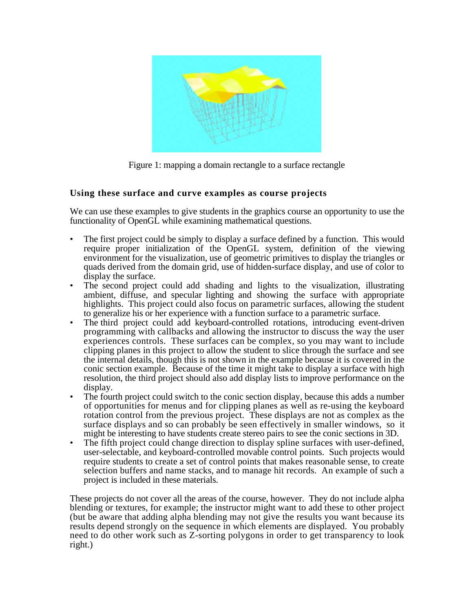

Figure 1: mapping a domain rectangle to a surface rectangle

# **Using these surface and curve examples as course projects**

We can use these examples to give students in the graphics course an opportunity to use the functionality of OpenGL while examining mathematical questions.

- The first project could be simply to display a surface defined by a function. This would require proper initialization of the OpenGL system, definition of the viewing environment for the visualization, use of geometric primitives to display the triangles or quads derived from the domain grid, use of hidden-surface display, and use of color to display the surface.
- The second project could add shading and lights to the visualization, illustrating ambient, diffuse, and specular lighting and showing the surface with appropriate highlights. This project could also focus on parametric surfaces, allowing the student to generalize his or her experience with a function surface to a parametric surface.
- The third project could add keyboard-controlled rotations, introducing event-driven programming with callbacks and allowing the instructor to discuss the way the user experiences controls. These surfaces can be complex, so you may want to include clipping planes in this project to allow the student to slice through the surface and see the internal details, though this is not shown in the example because it is covered in the conic section example. Because of the time it might take to display a surface with high resolution, the third project should also add display lists to improve performance on the display.
- The fourth project could switch to the conic section display, because this adds a number of opportunities for menus and for clipping planes as well as re-using the keyboard rotation control from the previous project. These displays are not as complex as the surface displays and so can probably be seen effectively in smaller windows, so it might be interesting to have students create stereo pairs to see the conic sections in 3D.
- The fifth project could change direction to display spline surfaces with user-defined, user-selectable, and keyboard-controlled movable control points. Such projects would require students to create a set of control points that makes reasonable sense, to create selection buffers and name stacks, and to manage hit records. An example of such a project is included in these materials.

These projects do not cover all the areas of the course, however. They do not include alpha blending or textures, for example; the instructor might want to add these to other project (but be aware that adding alpha blending may not give the results you want because its results depend strongly on the sequence in which elements are displayed. You probably need to do other work such as Z-sorting polygons in order to get transparency to look right.)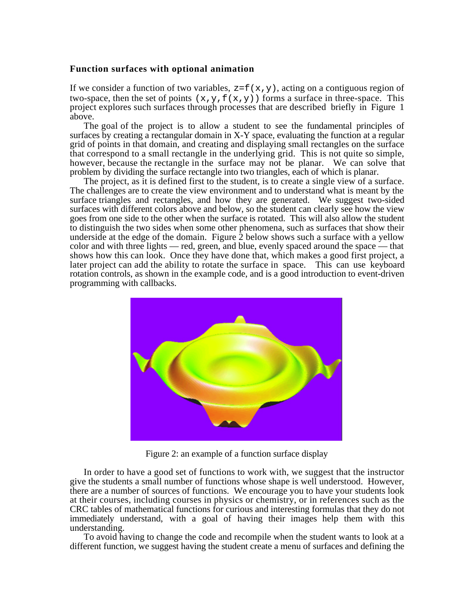#### **Function surfaces with optional animation**

If we consider a function of two variables,  $z = f(x, y)$ , acting on a contiguous region of two-space, then the set of points  $(x,y,f(x,y))$  forms a surface in three-space. This project explores such surfaces through processes that are described briefly in Figure 1 above.

The goal of the project is to allow a student to see the fundamental principles of surfaces by creating a rectangular domain in X-Y space, evaluating the function at a regular grid of points in that domain, and creating and displaying small rectangles on the surface that correspond to a small rectangle in the underlying grid. This is not quite so simple, however, because the rectangle in the surface may not be planar. We can solve that problem by dividing the surface rectangle into two triangles, each of which is planar.

The project, as it is defined first to the student, is to create a single view of a surface. The challenges are to create the view environment and to understand what is meant by the surface triangles and rectangles, and how they are generated. We suggest two-sided surfaces with different colors above and below, so the student can clearly see how the view goes from one side to the other when the surface is rotated. This will also allow the student to distinguish the two sides when some other phenomena, such as surfaces that show their underside at the edge of the domain. Figure 2 below shows such a surface with a yellow color and with three lights — red, green, and blue, evenly spaced around the space — that shows how this can look. Once they have done that, which makes a good first project, a later project can add the ability to rotate the surface in space. This can use keyboard rotation controls, as shown in the example code, and is a good introduction to event-driven programming with callbacks.



Figure 2: an example of a function surface display

In order to have a good set of functions to work with, we suggest that the instructor give the students a small number of functions whose shape is well understood. However, there are a number of sources of functions. We encourage you to have your students look at their courses, including courses in physics or chemistry, or in references such as the CRC tables of mathematical functions for curious and interesting formulas that they do not immediately understand, with a goal of having their images help them with this understanding.

To avoid having to change the code and recompile when the student wants to look at a different function, we suggest having the student create a menu of surfaces and defining the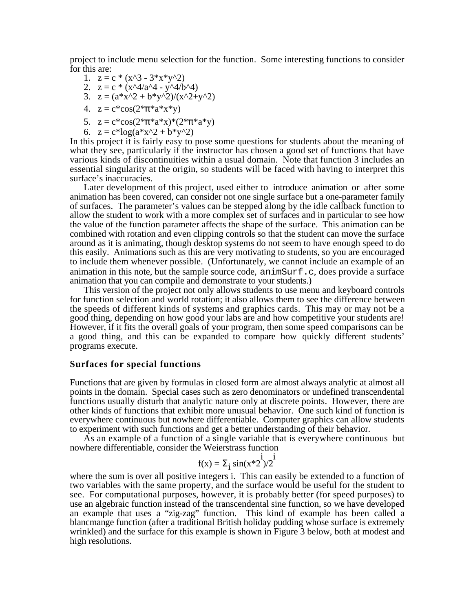project to include menu selection for the function. Some interesting functions to consider for this are:

- 1.  $z = c * (x^3 3*x*y^2)$
- 2.  $z = c * (x^4/4^4 y^4/6^4)$
- 3.  $z = (a*x^2 + b*y^2)/(x^2+y^2)$
- 4.  $z = c * cos(2 * * a * x * y)$
- 5.  $z = c * cos(2 * * a * x) * (2 * * a * y)$
- 6.  $z = c^* \log(a^* x^2 + b^* y^2)$

In this project it is fairly easy to pose some questions for students about the meaning of what they see, particularly if the instructor has chosen a good set of functions that have various kinds of discontinuities within a usual domain. Note that function 3 includes an essential singularity at the origin, so students will be faced with having to interpret this surface's inaccuracies.

Later development of this project, used either to introduce animation or after some animation has been covered, can consider not one single surface but a one-parameter family of surfaces. The parameter's values can be stepped along by the idle callback function to allow the student to work with a more complex set of surfaces and in particular to see how the value of the function parameter affects the shape of the surface. This animation can be combined with rotation and even clipping controls so that the student can move the surface around as it is animating, though desktop systems do not seem to have enough speed to do this easily. Animations such as this are very motivating to students, so you are encouraged to include them whenever possible. (Unfortunately, we cannot include an example of an animation in this note, but the sample source code, animSurf.c, does provide a surface animation that you can compile and demonstrate to your students.)

This version of the project not only allows students to use menu and keyboard controls for function selection and world rotation; it also allows them to see the difference between the speeds of different kinds of systems and graphics cards. This may or may not be a good thing, depending on how good your labs are and how competitive your students are! However, if it fits the overall goals of your program, then some speed comparisons can be a good thing, and this can be expanded to compare how quickly different students' programs execute.

#### **Surfaces for special functions**

Functions that are given by formulas in closed form are almost always analytic at almost all points in the domain. Special cases such as zero denominators or undefined transcendental functions usually disturb that analytic nature only at discrete points. However, there are other kinds of functions that exhibit more unusual behavior. One such kind of function is everywhere continuous but nowhere differentiable. Computer graphics can allow students to experiment with such functions and get a better understanding of their behavior.

As an example of a function of a single variable that is everywhere continuous but nowhere differentiable, consider the Weierstrass function

$$
f(x) = i \sin(x * 2^{i})/2^{i}
$$

where the sum is over all positive integers i. This can easily be extended to a function of two variables with the same property, and the surface would be useful for the student to see. For computational purposes, however, it is probably better (for speed purposes) to use an algebraic function instead of the transcendental sine function, so we have developed an example that uses a "zig-zag" function. This kind of example has been called a blancmange function (after a traditional British holiday pudding whose surface is extremely wrinkled) and the surface for this example is shown in Figure 3 below, both at modest and high resolutions.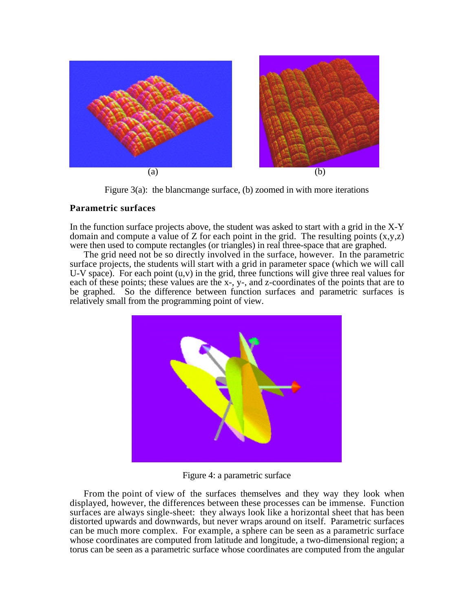

Figure 3(a): the blancmange surface, (b) zoomed in with more iterations

### **Parametric surfaces**

In the function surface projects above, the student was asked to start with a grid in the X-Y domain and compute a value of Z for each point in the grid. The resulting points  $(x,y,z)$ were then used to compute rectangles (or triangles) in real three-space that are graphed.

The grid need not be so directly involved in the surface, however. In the parametric surface projects, the students will start with a grid in parameter space (which we will call U-V space). For each point  $(u, v)$  in the grid, three functions will give three real values for each of these points; these values are the x-, y-, and z-coordinates of the points that are to be graphed. So the difference between function surfaces and parametric surfaces is relatively small from the programming point of view.



Figure 4: a parametric surface

From the point of view of the surfaces themselves and they way they look when displayed, however, the differences between these processes can be immense. Function surfaces are always single-sheet: they always look like a horizontal sheet that has been distorted upwards and downwards, but never wraps around on itself. Parametric surfaces can be much more complex. For example, a sphere can be seen as a parametric surface whose coordinates are computed from latitude and longitude, a two-dimensional region; a torus can be seen as a parametric surface whose coordinates are computed from the angular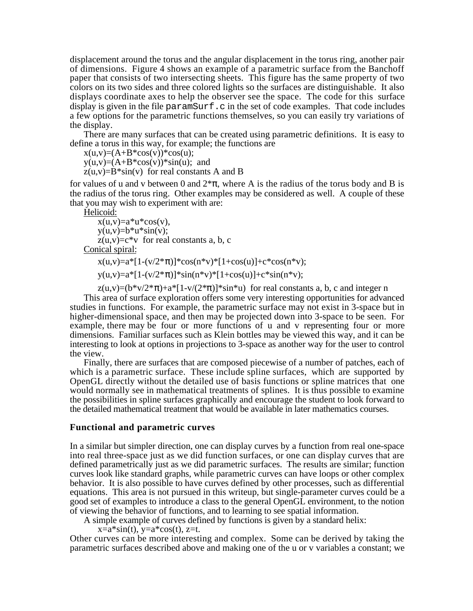displacement around the torus and the angular displacement in the torus ring, another pair of dimensions. Figure 4 shows an example of a parametric surface from the Banchoff paper that consists of two intersecting sheets. This figure has the same property of two colors on its two sides and three colored lights so the surfaces are distinguishable. It also displays coordinate axes to help the observer see the space. The code for this surface display is given in the file paramSurf.c in the set of code examples. That code includes a few options for the parametric functions themselves, so you can easily try variations of the display.

There are many surfaces that can be created using parametric definitions. It is easy to define a torus in this way, for example; the functions are

 $x(u,v)=(A+B*cos(v))*cos(u);$ 

 $y(u,v)=(A+B*cos(v))**sin(u);$  and

 $z(u, v) = B^*sin(v)$  for real constants A and B

for values of u and v between 0 and  $2^*$ , where A is the radius of the torus body and B is the radius of the torus ring. Other examples may be considered as well. A couple of these that you may wish to experiment with are:

Helicoid:

 $x(u,v)=a^*u^*cos(v),$  $y(u,v)=b^*u^*\sin(v);$  $z(u, v) = c * v$  for real constants a, b, c Conical spiral:

 $x(u,v)=a*[1-(v/2*-)]*cos(n*v)*(1+cos(u))+c*cos(n*v);$ 

 $y(u,v)=a*[1-(v/2*)]*sin(n* v)*[1+cos(u)]+c*sin(n* v);$ 

 $z(u,v)=(b*v/2*)+a*[1-v/(2*)]*sin*u)$  for real constants a, b, c and integer n This area of surface exploration offers some very interesting opportunities for advanced studies in functions. For example, the parametric surface may not exist in 3-space but in higher-dimensional space, and then may be projected down into 3-space to be seen. For example, there may be four or more functions of u and v representing four or more dimensions. Familiar surfaces such as Klein bottles may be viewed this way, and it can be interesting to look at options in projections to 3-space as another way for the user to control the view.

Finally, there are surfaces that are composed piecewise of a number of patches, each of which is a parametric surface. These include spline surfaces, which are supported by OpenGL directly without the detailed use of basis functions or spline matrices that one would normally see in mathematical treatments of splines. It is thus possible to examine the possibilities in spline surfaces graphically and encourage the student to look forward to the detailed mathematical treatment that would be available in later mathematics courses.

#### **Functional and parametric curves**

In a similar but simpler direction, one can display curves by a function from real one-space into real three-space just as we did function surfaces, or one can display curves that are defined parametrically just as we did parametric surfaces. The results are similar; function curves look like standard graphs, while parametric curves can have loops or other complex behavior. It is also possible to have curves defined by other processes, such as differential equations. This area is not pursued in this writeup, but single-parameter curves could be a good set of examples to introduce a class to the general OpenGL environment, to the notion of viewing the behavior of functions, and to learning to see spatial information.

A simple example of curves defined by functions is given by a standard helix:

 $x=a*\sin(t)$ ,  $y=a*\cos(t)$ ,  $z=t$ .

Other curves can be more interesting and complex. Some can be derived by taking the parametric surfaces described above and making one of the u or v variables a constant; we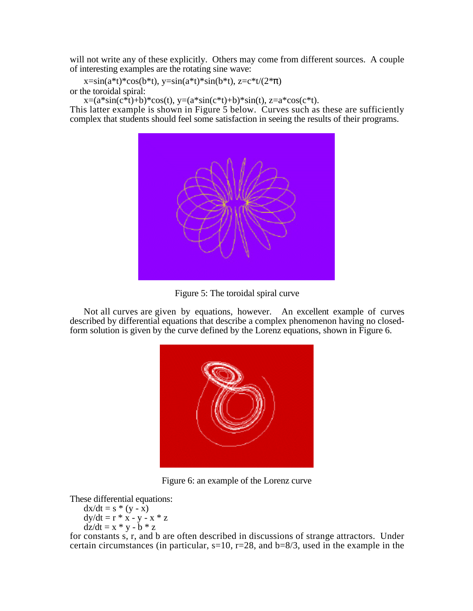will not write any of these explicitly. Others may come from different sources. A couple of interesting examples are the rotating sine wave:

 $x=sin(a*t)*cos(b*t), y=sin(a*t)*sin(b*t), z=c*t/(2*)$ or the toroidal spiral:

 $x=(a*sin(c*t)+b)*cos(t), y=(a*sin(c*t)+b)*sin(t), z=a*cos(c*t).$ 

This latter example is shown in Figure 5 below. Curves such as these are sufficiently complex that students should feel some satisfaction in seeing the results of their programs.



Figure 5: The toroidal spiral curve

Not all curves are given by equations, however. An excellent example of curves described by differential equations that describe a complex phenomenon having no closedform solution is given by the curve defined by the Lorenz equations, shown in Figure 6.



Figure 6: an example of the Lorenz curve

These differential equations:

$$
dx/dt = s * (y - x)
$$
  
\n
$$
dy/dt = r * x - y - x * z
$$
  
\n
$$
dz/dt = x * y - b * z
$$

for constants s, r, and b are often described in discussions of strange attractors. Under certain circumstances (in particular,  $s=10$ ,  $r=28$ , and  $b=8/3$ , used in the example in the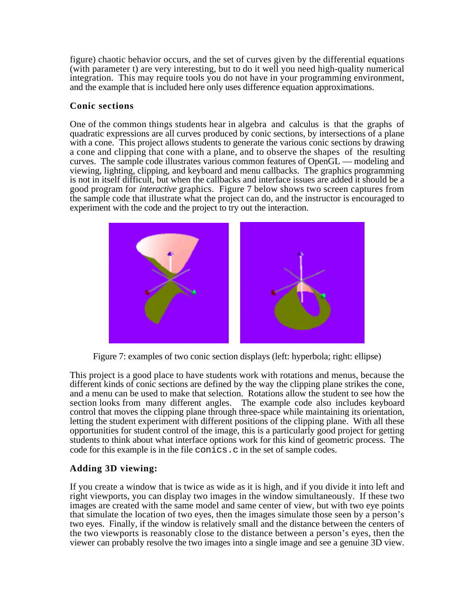figure) chaotic behavior occurs, and the set of curves given by the differential equations (with parameter t) are very interesting, but to do it well you need high-quality numerical integration. This may require tools you do not have in your programming environment, and the example that is included here only uses difference equation approximations.

### **Conic sections**

One of the common things students hear in algebra and calculus is that the graphs of quadratic expressions are all curves produced by conic sections, by intersections of a plane with a cone. This project allows students to generate the various conic sections by drawing a cone and clipping that cone with a plane, and to observe the shapes of the resulting curves. The sample code illustrates various common features of OpenGL — modeling and viewing, lighting, clipping, and keyboard and menu callbacks. The graphics programming is not in itself difficult, but when the callbacks and interface issues are added it should be a good program for *interactive* graphics. Figure 7 below shows two screen captures from the sample code that illustrate what the project can do, and the instructor is encouraged to experiment with the code and the project to try out the interaction.



Figure 7: examples of two conic section displays (left: hyperbola; right: ellipse)

This project is a good place to have students work with rotations and menus, because the different kinds of conic sections are defined by the way the clipping plane strikes the cone, and a menu can be used to make that selection. Rotations allow the student to see how the section looks from many different angles. The example code also includes keyboard control that moves the clipping plane through three-space while maintaining its orientation, letting the student experiment with different positions of the clipping plane. With all these opportunities for student control of the image, this is a particularly good project for getting students to think about what interface options work for this kind of geometric process. The code for this example is in the file conics.c in the set of sample codes.

# **Adding 3D viewing:**

If you create a window that is twice as wide as it is high, and if you divide it into left and right viewports, you can display two images in the window simultaneously. If these two images are created with the same model and same center of view, but with two eye points that simulate the location of two eyes, then the images simulate those seen by a person's two eyes. Finally, if the window is relatively small and the distance between the centers of the two viewports is reasonably close to the distance between a person's eyes, then the viewer can probably resolve the two images into a single image and see a genuine 3D view.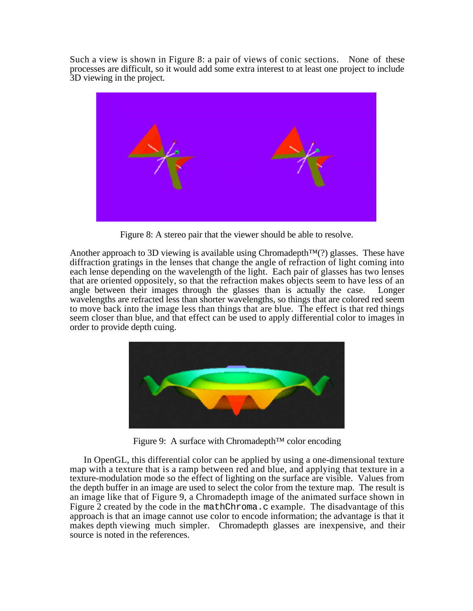Such a view is shown in Figure 8: a pair of views of conic sections. None of these processes are difficult, so it would add some extra interest to at least one project to include 3D viewing in the project.



Figure 8: A stereo pair that the viewer should be able to resolve.

Another approach to 3D viewing is available using Chromadepth<sup>™(?)</sup> glasses. These have diffraction gratings in the lenses that change the angle of refraction of light coming into each lense depending on the wavelength of the light. Each pair of glasses has two lenses that are oriented oppositely, so that the refraction makes objects seem to have less of an angle between their images through the glasses than is actually the case. Longer wavelengths are refracted less than shorter wavelengths, so things that are colored red seem to move back into the image less than things that are blue. The effect is that red things seem closer than blue, and that effect can be used to apply differential color to images in order to provide depth cuing.



Figure 9: A surface with Chromadepth™ color encoding

In OpenGL, this differential color can be applied by using a one-dimensional texture map with a texture that is a ramp between red and blue, and applying that texture in a texture-modulation mode so the effect of lighting on the surface are visible. Values from the depth buffer in an image are used to select the color from the texture map. The result is an image like that of Figure 9, a Chromadepth image of the animated surface shown in Figure 2 created by the code in the mathChroma.c example. The disadvantage of this approach is that an image cannot use color to encode information; the advantage is that it makes depth viewing much simpler. Chromadepth glasses are inexpensive, and their source is noted in the references.